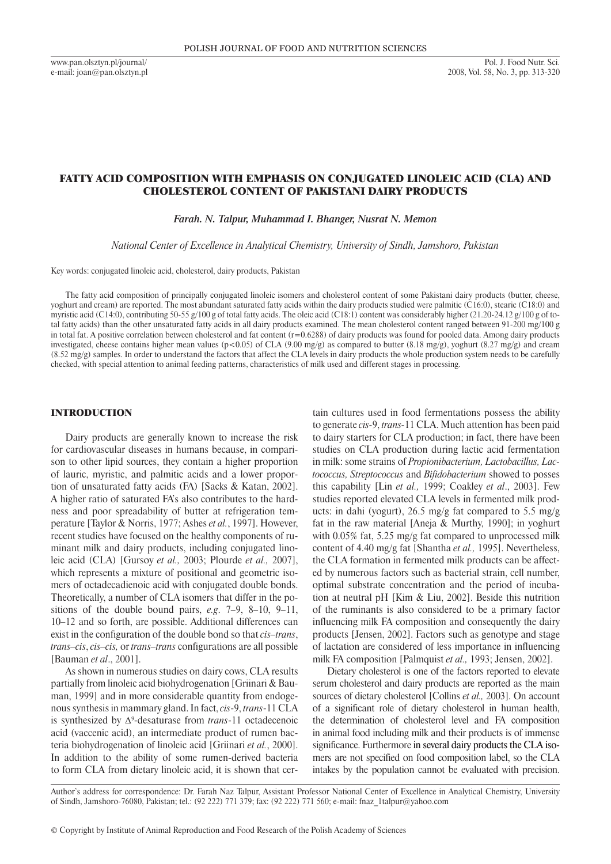# Fatty acid composition WITH EMPHASIS ON conjugated linoleic acid (CLA) and cholesterol content of Pakistani dairy products

*Farah. N. Talpur, Muhammad I. Bhanger, Nusrat N. Memon*

*National Center of Excellence in Analytical Chemistry, University of Sindh, Jamshoro, Pakistan*

Key words: conjugated linoleic acid, cholesterol, dairy products, Pakistan

The fatty acid composition of principally conjugated linoleic isomers and cholesterol content of some Pakistani dairy products (butter, cheese, yoghurt and cream) are reported. The most abundant saturated fatty acids within the dairy products studied were palmitic (C16:0), stearic (C18:0) and myristic acid (C14:0), contributing 50-55 g/100 g of total fatty acids. The oleic acid (C18:1) content was considerably higher (21.20-24.12 g/100 g of total fatty acids) than the other unsaturated fatty acids in all dairy products examined. The mean cholesterol content ranged between 91-200 mg/100 g in total fat. A positive correlation between cholesterol and fat content (r=0.6288) of dairy products was found for pooled data. Among dairy products investigated, cheese contains higher mean values (p<0.05) of CLA (9.00 mg/g) as compared to butter (8.18 mg/g), yoghurt (8.27 mg/g) and cream (8.52 mg/g) samples. In order to understand the factors that affect the CLA levels in dairy products the whole production system needs to be carefully checked, with special attention to animal feeding patterns, characteristics of milk used and different stages in processing.

## **INTRODUCTION**

Dairy products are generally known to increase the risk for cardiovascular diseases in humans because, in comparison to other lipid sources, they contain a higher proportion of lauric, myristic, and palmitic acids and a lower proportion of unsaturated fatty acids (FA) [Sacks & Katan, 2002]. A higher ratio of saturated FA's also contributes to the hardness and poor spreadability of butter at refrigeration temperature [Taylor & Norris, 1977; Ashes *et al.*, 1997]. However, recent studies have focused on the healthy components of ruminant milk and dairy products, including conjugated linoleic acid (CLA) [Gursoy *et al.,* 2003; Plourde *et al.,* 2007], which represents a mixture of positional and geometric isomers of octadecadienoic acid with conjugated double bonds. Theoretically, a number of CLA isomers that differ in the positions of the double bound pairs, *e.g*. 7–9, 8–10, 9–11, 10–12 and so forth, are possible. Additional differences can exist in the configuration of the double bond so that *cis–trans*, *trans–cis*, *cis–cis,* or *trans–trans* configurations are all possible [Bauman *et al*., 2001].

As shown in numerous studies on dairy cows, CLA results partially from linoleic acid biohydrogenation [Griinari & Bauman, 1999] and in more considerable quantity from endogenous synthesis in mammary gland. In fact, *cis*-9, *trans*-11 CLA is synthesized by Δ<sup>9</sup> -desaturase from *trans*-11 octadecenoic acid (vaccenic acid), an intermediate product of rumen bacteria biohydrogenation of linoleic acid [Griinari *et al.*, 2000]. In addition to the ability of some rumen-derived bacteria to form CLA from dietary linoleic acid, it is shown that cer-

tain cultures used in food fermentations possess the ability to generate *cis-*9, *trans-*11 CLA. Much attention has been paid to dairy starters for CLA production; in fact, there have been studies on CLA production during lactic acid fermentation in milk: some strains of *Propionibacterium, Lactobacillus, Lactococcus, Streptococcus* and *Bifidobacterium* showed to posses this capability [Lin *et al.,* 1999; Coakley *et al*., 2003]. Few studies reported elevated CLA levels in fermented milk products: in dahi (yogurt), 26.5 mg/g fat compared to 5.5 mg/g fat in the raw material [Aneja & Murthy, 1990]; in yoghurt with 0.05% fat, 5.25 mg/g fat compared to unprocessed milk content of 4.40 mg/g fat [Shantha *et al.,* 1995]. Nevertheless, the CLA formation in fermented milk products can be affected by numerous factors such as bacterial strain, cell number, optimal substrate concentration and the period of incubation at neutral pH [Kim & Liu, 2002]. Beside this nutrition of the ruminants is also considered to be a primary factor influencing milk FA composition and consequently the dairy products [Jensen, 2002]. Factors such as genotype and stage of lactation are considered of less importance in influencing milk FA composition [Palmquist *et al.,* 1993; Jensen, 2002].

Dietary cholesterol is one of the factors reported to elevate serum cholesterol and dairy products are reported as the main sources of dietary cholesterol [Collins *et al.,* 2003]. On account of a significant role of dietary cholesterol in human health, the determination of cholesterol level and FA composition in animal food including milk and their products is of immense significance. Furthermore in several dairy products the CLA isomers are not specified on food composition label, so the CLA intakes by the population cannot be evaluated with precision.

Author's address for correspondence: Dr. Farah Naz Talpur, Assistant Professor National Center of Excellence in Analytical Chemistry, University of Sindh, Jamshoro-76080, Pakistan; tel.: (92 222) 771 379; fax: (92 222) 771 560; e-mail: fnaz\_1talpur@yahoo.com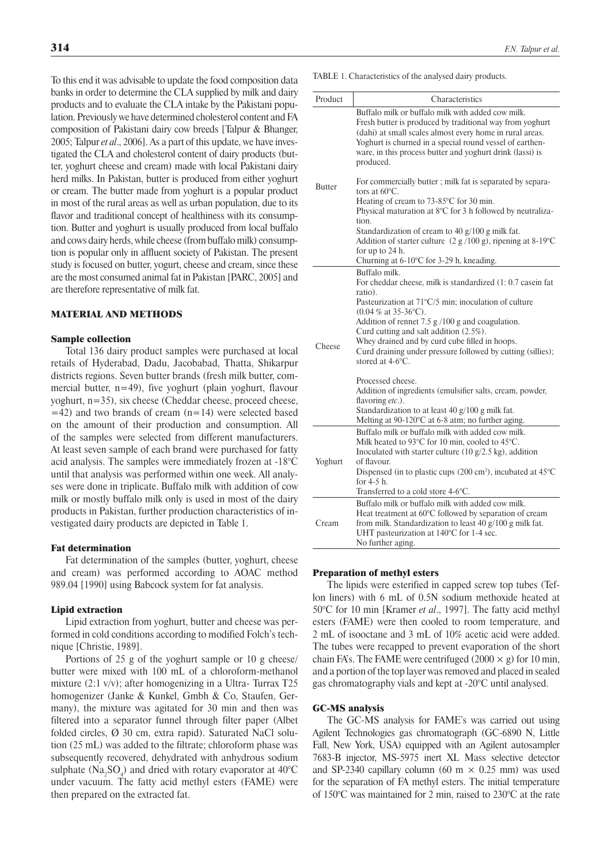To this end it was advisable to update the food composition data banks in order to determine the CLA supplied by milk and dairy products and to evaluate the CLA intake by the Pakistani population. Previously we have determined cholesterol content and FA composition of Pakistani dairy cow breeds [Talpur & Bhanger, 2005; Talpur *et al*., 2006]. As a part of this update, we have investigated the CLA and cholesterol content of dairy products (butter, yoghurt cheese and cream) made with local Pakistani dairy herd milks. In Pakistan, butter is produced from either yoghurt or cream. The butter made from yoghurt is a popular product in most of the rural areas as well as urban population, due to its flavor and traditional concept of healthiness with its consumption. Butter and yoghurt is usually produced from local buffalo and cows dairy herds, while cheese (from buffalo milk) consumption is popular only in affluent society of Pakistan. The present study is focused on butter, yogurt, cheese and cream, since these are the most consumed animal fat in Pakistan [PARC, 2005] and are therefore representative of milk fat.

### Material and methods

#### Sample collection

Total 136 dairy product samples were purchased at local retails of Hyderabad, Dadu, Jacobabad, Thatta, Shikarpur districts regions. Seven butter brands (fresh milk butter, commercial butter, n=49), five yoghurt (plain yoghurt, flavour yoghurt, n=35), six cheese (Cheddar cheese, proceed cheese,  $=42$ ) and two brands of cream (n=14) were selected based on the amount of their production and consumption. All of the samples were selected from different manufacturers. At least seven sample of each brand were purchased for fatty acid analysis. The samples were immediately frozen at -18°C until that analysis was performed within one week. All analyses were done in triplicate. Buffalo milk with addition of cow milk or mostly buffalo milk only is used in most of the dairy products in Pakistan, further production characteristics of investigated dairy products are depicted in Table 1.

### Fat determination

Fat determination of the samples (butter, yoghurt, cheese and cream) was performed according to AOAC method 989.04 [1990] using Babcock system for fat analysis.

#### Lipid extraction

Lipid extraction from yoghurt, butter and cheese was performed in cold conditions according to modified Folch's technique [Christie, 1989].

Portions of 25 g of the yoghurt sample or 10 g cheese/ butter were mixed with 100 mL of a chloroform-methanol mixture (2:1 v/v); after homogenizing in a Ultra-Turrax T25 homogenizer (Janke & Kunkel, Gmbh & Co, Staufen, Germany), the mixture was agitated for 30 min and then was filtered into a separator funnel through filter paper (Albet folded circles,  $\varnothing$  30 cm, extra rapid). Saturated NaCl solution (25 mL) was added to the filtrate; chloroform phase was subsequently recovered, dehydrated with anhydrous sodium sulphate  $(Na_2SO_4)$  and dried with rotary evaporator at 40°C under vacuum. The fatty acid methyl esters (FAME) were then prepared on the extracted fat.

Table 1. Characteristics of the analysed dairy products.

| Product       | Characteristics                                                                                                                                                                                                                                                                                                                                                                                                                       |  |  |  |  |  |  |
|---------------|---------------------------------------------------------------------------------------------------------------------------------------------------------------------------------------------------------------------------------------------------------------------------------------------------------------------------------------------------------------------------------------------------------------------------------------|--|--|--|--|--|--|
| <b>Butter</b> | Buffalo milk or buffalo milk with added cow milk.<br>Fresh butter is produced by traditional way from yoghurt<br>(dahi) at small scales almost every home in rural areas.<br>Yoghurt is churned in a special round vessel of earthen-<br>ware, in this process butter and yoghurt drink (lassi) is<br>produced.                                                                                                                       |  |  |  |  |  |  |
|               | For commercially butter; milk fat is separated by separa-<br>tors at $60^{\circ}$ C.<br>Heating of cream to 73-85°C for 30 min.<br>Physical maturation at 8°C for 3 h followed by neutraliza-                                                                                                                                                                                                                                         |  |  |  |  |  |  |
|               | tion.<br>Standardization of cream to 40 g/100 g milk fat.<br>Addition of starter culture $(2 g/100 g)$ , ripening at 8-19°C<br>for up to 24 h.<br>Churning at 6-10°C for 3-29 h, kneading.                                                                                                                                                                                                                                            |  |  |  |  |  |  |
| Cheese        | Buffalo milk.<br>For cheddar cheese, milk is standardized (1: 0.7 casein fat<br>ratio).<br>Pasteurization at $71^{\circ}$ C/5 min; inoculation of culture<br>$(0.04\%$ at 35-36 °C).<br>Addition of rennet $7.5$ g $/100$ g and coagulation.<br>Curd cutting and salt addition (2.5%).<br>Whey drained and by curd cube filled in hoops.<br>Curd draining under pressure followed by cutting (sillies);<br>stored at $4-6^{\circ}$ C. |  |  |  |  |  |  |
|               | Processed cheese.<br>Addition of ingredients (emulsifier salts, cream, powder,<br>flavoring etc.).<br>Standardization to at least 40 g/100 g milk fat.<br>Melting at 90-120°C at 6-8 atm; no further aging.                                                                                                                                                                                                                           |  |  |  |  |  |  |
| Yoghurt       | Buffalo milk or buffalo milk with added cow milk.<br>Milk heated to 93°C for 10 min, cooled to 45°C.<br>Inoculated with starter culture $(10 \text{ g}/2.5 \text{ kg})$ , addition<br>of flavour.<br>Dispensed (in to plastic cups $(200 \text{ cm}^3)$ , incubated at $45^{\circ}$ C<br>for 4-5 h.<br>Transferred to a cold store $4-6^{\circ}$ C.                                                                                   |  |  |  |  |  |  |
| Cream         | Buffalo milk or buffalo milk with added cow milk.<br>Heat treatment at 60°C followed by separation of cream<br>from milk. Standardization to least 40 g/100 g milk fat.<br>UHT pasteurization at 140°C for 1-4 sec.<br>No further aging.                                                                                                                                                                                              |  |  |  |  |  |  |

#### Preparation of methyl esters

The lipids were esterified in capped screw top tubes (Teflon liners) with 6 mL of 0.5N sodium methoxide heated at 50°C for 10 min [Kramer *et al*., 1997]. The fatty acid methyl esters (FAME) were then cooled to room temperature, and 2 mL of isooctane and 3 mL of 10% acetic acid were added. The tubes were recapped to prevent evaporation of the short chain FA's. The FAME were centrifuged (2000  $\times$  g) for 10 min, and a portion of the top layer was removed and placed in sealed gas chromatography vials and kept at -20°C until analysed.

### GC-MS analysis

The GC-MS analysis for FAME's was carried out using Agilent Technologies gas chromatograph (GC-6890 N, Little Fall, New York, USA) equipped with an Agilent autosampler 7683-B injector, MS-5975 inert XL Mass selective detector and SP-2340 capillary column (60 m  $\times$  0.25 mm) was used for the separation of FA methyl esters. The initial temperature of 150°C was maintained for 2 min, raised to 230°C at the rate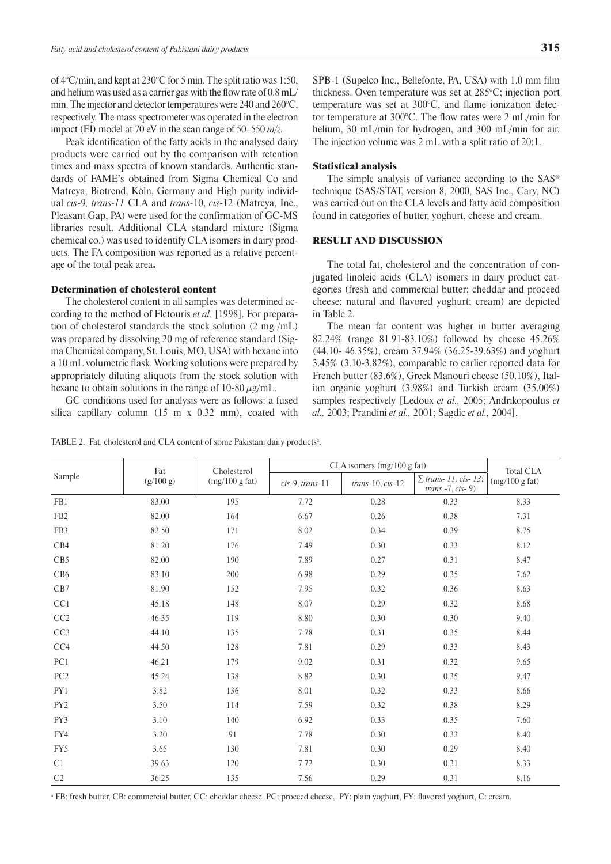of 4°C/min, and kept at 230°C for 5 min. The split ratio was 1:50, and helium was used as a carrier gas with the flow rate of 0.8 mL/ min. The injector and detector temperatures were 240 and 260°C, respectively. The mass spectrometer was operated in the electron impact (EI) model at 70 eV in the scan range of 50–550 *m/z.*

Peak identification of the fatty acids in the analysed dairy products were carried out by the comparison with retention times and mass spectra of known standards. Authentic standards of FAME's obtained from Sigma Chemical Co and Matreya, Biotrend, Köln, Germany and High purity individual *cis*-9*, trans-11* CLA and *trans-*10, *cis*-12 (Matreya, Inc., Pleasant Gap, PA) were used for the confirmation of GC-MS libraries result. Additional CLA standard mixture (Sigma chemical co.) was used to identify CLA isomers in dairy products. The FA composition was reported as a relative percentage of the total peak area.

#### Determination of cholesterol content

The cholesterol content in all samples was determined according to the method of Fletouris *et al.* [1998]. For preparation of cholesterol standards the stock solution (2 mg /mL) was prepared by dissolving 20 mg of reference standard (Sigma Chemical company, St. Louis, MO, USA) with hexane into a 10 mL volumetric flask. Working solutions were prepared by appropriately diluting aliquots from the stock solution with hexane to obtain solutions in the range of 10-80  $\mu$ g/mL.

GC conditions used for analysis were as follows: a fused silica capillary column (15 m x 0.32 mm), coated with

SPB-1 (Supelco Inc., Bellefonte, PA, USA) with 1.0 mm film thickness. Oven temperature was set at 285°C; injection port temperature was set at 300°C, and flame ionization detector temperature at 300°C. The flow rates were 2 mL/min for helium, 30 mL/min for hydrogen, and 300 mL/min for air. The injection volume was 2 mL with a split ratio of 20:1.

### Statistical analysis

The simple analysis of variance according to the  $SAS^{\circledast}$ technique (SAS/STAT, version 8, 2000, SAS Inc., Cary, NC) was carried out on the CLA levels and fatty acid composition found in categories of butter, yoghurt, cheese and cream.

## Result and Discussion

The total fat, cholesterol and the concentration of conjugated linoleic acids (CLA) isomers in dairy product categories (fresh and commercial butter; cheddar and proceed cheese; natural and flavored yoghurt; cream) are depicted in Table 2.

The mean fat content was higher in butter averaging 82.24% (range 81.91-83.10%) followed by cheese 45.26% (44.10- 46.35%), cream 37.94% (36.25-39.63%) and yoghurt 3.45% (3.10-3.82%), comparable to earlier reported data for French butter (83.6%), Greek Manouri cheese (50.10%), Italian organic yoghurt (3.98%) and Turkish cream (35.00%) samples respectively [Ledoux *et al.,* 2005; Andrikopoulus *et al.,* 2003; Prandini *et al.,* 2001; Sagdic *et al.,* 2004].

|                      | Fat       | Cholesterol    | CLA isomers (mg/100 g fat) | <b>Total CLA</b>   |                                                      |                |
|----------------------|-----------|----------------|----------------------------|--------------------|------------------------------------------------------|----------------|
| Sample               | (g/100 g) | (mg/100 g fat) | $cis-9, trans-11$          | $trans-10, cis-12$ | $\Sigma$ trans- 11, cis- 13;<br>$trans -7, cis - 9)$ | (mg/100 g fat) |
| FB1                  | 83.00     | 195            | 7.72                       | 0.28               | 0.33                                                 | 8.33           |
| FB <sub>2</sub>      | 82.00     | 164            | 6.67                       | 0.26               | 0.38                                                 | 7.31           |
| FB3                  | 82.50     | 171            | 8.02                       | 0.34               | 0.39                                                 | 8.75           |
| CB4                  | 81.20     | 176            | 7.49                       | 0.30               | 0.33                                                 | 8.12           |
| CB5                  | 82.00     | 190            | 7.89                       | 0.27               | 0.31                                                 | 8.47           |
| CB6                  | 83.10     | 200            | 6.98                       | 0.29               | 0.35                                                 | 7.62           |
| $\operatorname{CB7}$ | 81.90     | 152            | 7.95                       | 0.32               | 0.36                                                 | 8.63           |
| CC1                  | 45.18     | 148            | 8.07                       | 0.29               | 0.32                                                 | 8.68           |
| CC2                  | 46.35     | 119            | 8.80                       | 0.30               | 0.30                                                 | 9.40           |
| CC3                  | 44.10     | 135            | 7.78                       | 0.31               | 0.35                                                 | 8.44           |
| CC4                  | 44.50     | 128            | 7.81                       | 0.29               | 0.33                                                 | 8.43           |
| PC1                  | 46.21     | 179            | 9.02                       | 0.31               | 0.32                                                 | 9.65           |
| PC <sub>2</sub>      | 45.24     | 138            | 8.82                       | 0.30               | 0.35                                                 | 9.47           |
| PY1                  | 3.82      | 136            | 8.01                       | 0.32               | 0.33                                                 | 8.66           |
| PY <sub>2</sub>      | 3.50      | 114            | 7.59                       | 0.32               | 0.38                                                 | 8.29           |
| PY3                  | 3.10      | 140            | 6.92                       | 0.33               | 0.35                                                 | 7.60           |
| FY4                  | 3.20      | 91             | 7.78                       | 0.30               | 0.32                                                 | 8.40           |
| FY5                  | 3.65      | 130            | 7.81                       | 0.30               | 0.29                                                 | 8.40           |
| C1                   | 39.63     | 120            | 7.72                       | 0.30               | 0.31                                                 | 8.33           |
| C <sub>2</sub>       | 36.25     | 135            | 7.56                       | 0.29               | 0.31                                                 | 8.16           |

TABLE 2. Fat, cholesterol and CLA content of some Pakistani dairy products<sup>a</sup>.

<sup>a</sup> FB: fresh butter, CB: commercial butter, CC: cheddar cheese, PC: proceed cheese, PY: plain yoghurt, FY: flavored yoghurt, C: cream.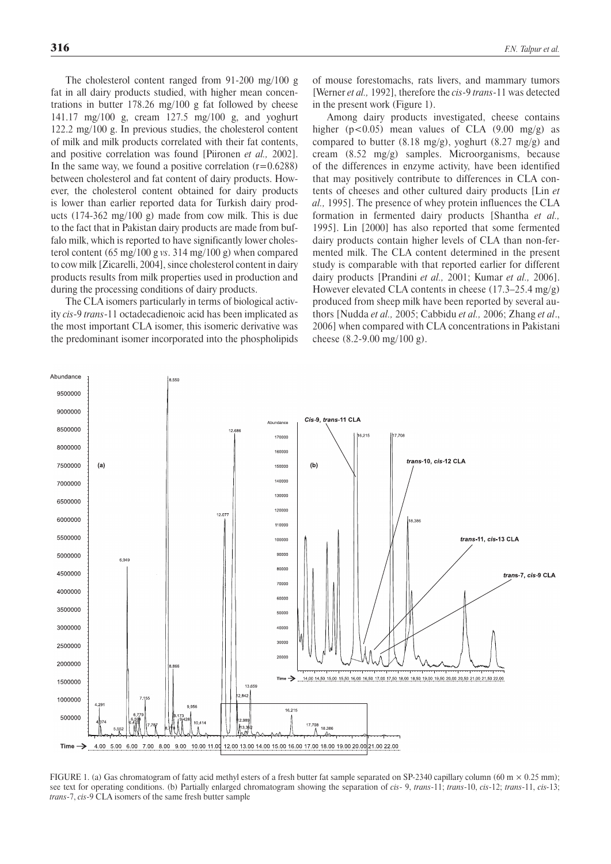The cholesterol content ranged from 91-200 mg/100 g fat in all dairy products studied, with higher mean concentrations in butter 178.26 mg/100 g fat followed by cheese 141.17 mg/100 g, cream 127.5 mg/100 g, and yoghurt 122.2 mg/100 g. In previous studies, the cholesterol content of milk and milk products correlated with their fat contents, and positive correlation was found [Piironen *et al.,* 2002]. In the same way, we found a positive correlation  $(r=0.6288)$ between cholesterol and fat content of dairy products. However, the cholesterol content obtained for dairy products is lower than earlier reported data for Turkish dairy products (174-362 mg/100 g) made from cow milk. This is due to the fact that in Pakistan dairy products are made from buffalo milk, which is reported to have significantly lower cholesterol content (65 mg/100 g *vs*. 314 mg/100 g) when compared to cow milk [Zicarelli, 2004], since cholesterol content in dairy products results from milk properties used in production and during the processing conditions of dairy products.

The CLA isomers particularly in terms of biological activity *cis*-9 *trans*-11 octadecadienoic acid has been implicated as the most important CLA isomer, this isomeric derivative was the predominant isomer incorporated into the phospholipids of mouse forestomachs, rats livers, and mammary tumors [Werner *et al.,* 1992], therefore the *cis*-9 *trans*-11 was detected in the present work (Figure 1).

Among dairy products investigated, cheese contains higher ( $p < 0.05$ ) mean values of CLA (9.00 mg/g) as compared to butter (8.18 mg/g), yoghurt (8.27 mg/g) and cream (8.52 mg/g) samples. Microorganisms, because of the differences in enzyme activity, have been identified that may positively contribute to differences in CLA contents of cheeses and other cultured dairy products [Lin *et al.,* 1995]. The presence of whey protein influences the CLA formation in fermented dairy products [Shantha *et al.,* 1995]. Lin [2000] has also reported that some fermented dairy products contain higher levels of CLA than non-fermented milk. The CLA content determined in the present study is comparable with that reported earlier for different dairy products [Prandini *et al.,* 2001; Kumar *et al.,* 2006]. However elevated CLA contents in cheese (17.3–25.4 mg/g) produced from sheep milk have been reported by several authors [Nudda *et al.,* 2005; Cabbidu *et al.,* 2006; Zhang *et al*., 2006] when compared with CLA concentrations in Pakistani cheese (8.2-9.00 mg/100 g).



FIGURE 1. (a) Gas chromatogram of fatty acid methyl esters of a fresh butter fat sample separated on SP-2340 capillary column (60 m  $\times$  0.25 mm); see text for operating conditions. (b) Partially enlarged chromatogram showing the separation of *cis*- 9, *trans*-11; *trans*-10, *cis*-12; *trans*-11, *cis-*13; *trans*-7, *cis*-9 CLA isomers of the same fresh butter sample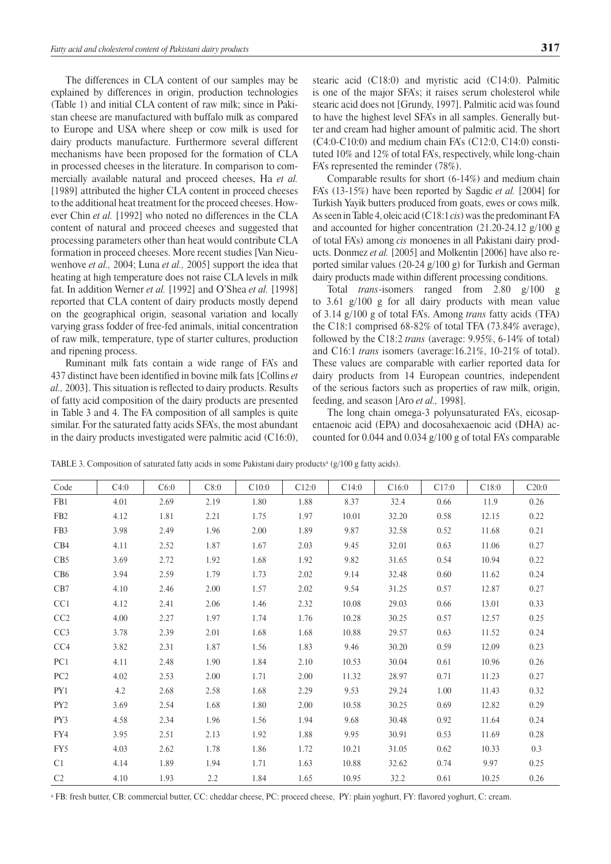The differences in CLA content of our samples may be explained by differences in origin, production technologies (Table 1) and initial CLA content of raw milk; since in Pakistan cheese are manufactured with buffalo milk as compared to Europe and USA where sheep or cow milk is used for dairy products manufacture. Furthermore several different mechanisms have been proposed for the formation of CLA in processed cheeses in the literature. In comparison to commercially available natural and proceed cheeses, Ha *et al.* [1989] attributed the higher CLA content in proceed cheeses to the additional heat treatment for the proceed cheeses. However Chin *et al.* [1992] who noted no differences in the CLA content of natural and proceed cheeses and suggested that processing parameters other than heat would contribute CLA formation in proceed cheeses. More recent studies [Van Nieuwenhove *et al.,* 2004; Luna *et al.,* 2005] support the idea that heating at high temperature does not raise CLA levels in milk fat. In addition Werner *et al.* [1992] and O'Shea *et al.* [1998] reported that CLA content of dairy products mostly depend on the geographical origin, seasonal variation and locally varying grass fodder of free-fed animals, initial concentration of raw milk, temperature, type of starter cultures, production and ripening process.

Ruminant milk fats contain a wide range of FA's and 437 distinct have been identified in bovine milk fats [Collins *et al.,* 2003]. This situation is reflected to dairy products. Results of fatty acid composition of the dairy products are presented in Table 3 and 4. The FA composition of all samples is quite similar. For the saturated fatty acids SFA's, the most abundant in the dairy products investigated were palmitic acid  $(C16:0)$ , stearic acid (C18:0) and myristic acid (C14:0). Palmitic is one of the major SFA's; it raises serum cholesterol while stearic acid does not [Grundy, 1997]. Palmitic acid was found to have the highest level SFA's in all samples. Generally butter and cream had higher amount of palmitic acid. The short (C4:0-C10:0) and medium chain FA's (C12:0, C14:0) constituted 10% and 12% of total FA's, respectively, while long-chain FA's represented the reminder (78%).

Comparable results for short (6-14%) and medium chain FA's (13-15%) have been reported by Sagdic *et al.* [2004] for Turkish Yayik butters produced from goats, ewes or cows milk. As seen inTable 4, oleic acid (C18:1 *cis*) was the predominant FA and accounted for higher concentration (21.20-24.12 g/100 g of total FA's) among *cis* monoenes in all Pakistani dairy products. Donmez *et al.* [2005] and Molkentin [2006] have also reported similar values (20-24 g/100 g) for Turkish and German dairy products made within different processing conditions.

Total *trans*-isomers ranged from 2.80 g/100 g to 3.61 g/100 g for all dairy products with mean value of 3.14 g/100 g of total FA's. Among *trans* fatty acids (TFA) the C18:1 comprised 68-82% of total TFA (73.84% average), followed by the C18:2 *trans* (average: 9.95%, 6-14% of total) and C16:1 *trans* isomers (average:16.21%, 10-21% of total). These values are comparable with earlier reported data for dairy products from 14 European countries, independent of the serious factors such as properties of raw milk, origin, feeding, and season [Aro *et al.,* 1998].

The long chain omega-3 polyunsaturated FA's, eicosapentaenoic acid (EPA) and docosahexaenoic acid (DHA) accounted for 0.044 and 0.034 g/100 g of total FA's comparable

| Code            | C4:0 | C6:0 | C8:0 | C10:0 | C12:0 | C14:0 | C16:0 | C17:0 | C18:0 | C20:0 |
|-----------------|------|------|------|-------|-------|-------|-------|-------|-------|-------|
| FB1             | 4.01 | 2.69 | 2.19 | 1.80  | 1.88  | 8.37  | 32.4  | 0.66  | 11.9  | 0.26  |
| FB <sub>2</sub> | 4.12 | 1.81 | 2.21 | 1.75  | 1.97  | 10.01 | 32.20 | 0.58  | 12.15 | 0.22  |
| FB3             | 3.98 | 2.49 | 1.96 | 2.00  | 1.89  | 9.87  | 32.58 | 0.52  | 11.68 | 0.21  |
| CB4             | 4.11 | 2.52 | 1.87 | 1.67  | 2.03  | 9.45  | 32.01 | 0.63  | 11.06 | 0.27  |
| CB5             | 3.69 | 2.72 | 1.92 | 1.68  | 1.92  | 9.82  | 31.65 | 0.54  | 10.94 | 0.22  |
| CB6             | 3.94 | 2.59 | 1.79 | 1.73  | 2.02  | 9.14  | 32.48 | 0.60  | 11.62 | 0.24  |
| CB7             | 4.10 | 2.46 | 2.00 | 1.57  | 2.02  | 9.54  | 31.25 | 0.57  | 12.87 | 0.27  |
| CC1             | 4.12 | 2.41 | 2.06 | 1.46  | 2.32  | 10.08 | 29.03 | 0.66  | 13.01 | 0.33  |
| CC <sub>2</sub> | 4.00 | 2.27 | 1.97 | 1.74  | 1.76  | 10.28 | 30.25 | 0.57  | 12.57 | 0.25  |
| CC3             | 3.78 | 2.39 | 2.01 | 1.68  | 1.68  | 10.88 | 29.57 | 0.63  | 11.52 | 0.24  |
| CC4             | 3.82 | 2.31 | 1.87 | 1.56  | 1.83  | 9.46  | 30.20 | 0.59  | 12.09 | 0.23  |
| PC1             | 4.11 | 2.48 | 1.90 | 1.84  | 2.10  | 10.53 | 30.04 | 0.61  | 10.96 | 0.26  |
| PC <sub>2</sub> | 4.02 | 2.53 | 2.00 | 1.71  | 2.00  | 11.32 | 28.97 | 0.71  | 11.23 | 0.27  |
| PY1             | 4.2  | 2.68 | 2.58 | 1.68  | 2.29  | 9.53  | 29.24 | 1.00  | 11.43 | 0.32  |
| PY <sub>2</sub> | 3.69 | 2.54 | 1.68 | 1.80  | 2.00  | 10.58 | 30.25 | 0.69  | 12.82 | 0.29  |
| PY3             | 4.58 | 2.34 | 1.96 | 1.56  | 1.94  | 9.68  | 30.48 | 0.92  | 11.64 | 0.24  |
| FY4             | 3.95 | 2.51 | 2.13 | 1.92  | 1.88  | 9.95  | 30.91 | 0.53  | 11.69 | 0.28  |
| FY5             | 4.03 | 2.62 | 1.78 | 1.86  | 1.72  | 10.21 | 31.05 | 0.62  | 10.33 | 0.3   |
| C <sub>1</sub>  | 4.14 | 1.89 | 1.94 | 1.71  | 1.63  | 10.88 | 32.62 | 0.74  | 9.97  | 0.25  |
| C <sub>2</sub>  | 4.10 | 1.93 | 2.2  | 1.84  | 1.65  | 10.95 | 32.2  | 0.61  | 10.25 | 0.26  |

TABLE 3. Composition of saturated fatty acids in some Pakistani dairy products<sup>a</sup> (g/100 g fatty acids).

<sup>a</sup> FB: fresh butter, CB: commercial butter, CC: cheddar cheese, PC: proceed cheese, PY: plain yoghurt, FY: flavored yoghurt, C: cream.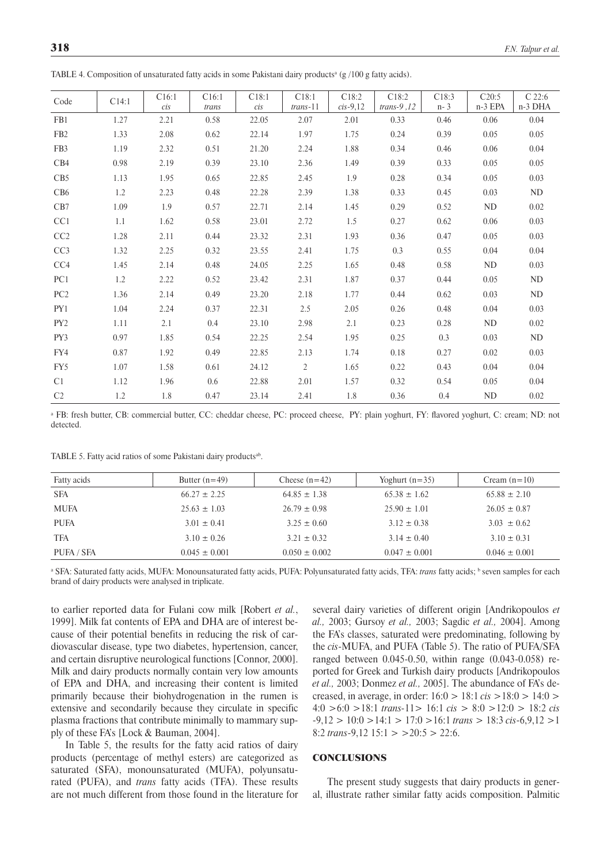| Code            | C14:1 | C16:1<br>cis | C16:1         | C18:1<br>cis | C18:1<br>$trans-11$ | C18:2<br>$cis-9.12$ | C18:2<br>trans- $9,12$ | C18:3<br>$n - 3$ | C20:5<br>n-3 EPA | $C$ 22:6<br>n-3 DHA |
|-----------------|-------|--------------|---------------|--------------|---------------------|---------------------|------------------------|------------------|------------------|---------------------|
| FB1             | 1.27  | 2.21         | trans<br>0.58 | 22.05        | 2.07                | 2.01                | 0.33                   | 0.46             | 0.06             | 0.04                |
| FB <sub>2</sub> | 1.33  | 2.08         | 0.62          | 22.14        | 1.97                | 1.75                | 0.24                   | 0.39             | 0.05             | 0.05                |
|                 |       |              |               |              |                     |                     |                        |                  |                  |                     |
| FB <sub>3</sub> | 1.19  | 2.32         | 0.51          | 21.20        | 2.24                | 1.88                | 0.34                   | 0.46             | 0.06             | 0.04                |
| CB4             | 0.98  | 2.19         | 0.39          | 23.10        | 2.36                | 1.49                | 0.39                   | 0.33             | 0.05             | 0.05                |
| CB <sub>5</sub> | 1.13  | 1.95         | 0.65          | 22.85        | 2.45                | 1.9                 | 0.28                   | 0.34             | 0.05             | 0.03                |
| CB6             | 1.2   | 2.23         | 0.48          | 22.28        | 2.39                | 1.38                | 0.33                   | 0.45             | 0.03             | ND                  |
| CB7             | 1.09  | 1.9          | 0.57          | 22.71        | 2.14                | 1.45                | 0.29                   | 0.52             | ND               | 0.02                |
| CC1             | 1.1   | 1.62         | 0.58          | 23.01        | 2.72                | 1.5                 | 0.27                   | 0.62             | 0.06             | 0.03                |
| CC2             | 1.28  | 2.11         | 0.44          | 23.32        | 2.31                | 1.93                | 0.36                   | 0.47             | 0.05             | 0.03                |
| CC <sub>3</sub> | 1.32  | 2.25         | 0.32          | 23.55        | 2.41                | 1.75                | 0.3                    | 0.55             | 0.04             | 0.04                |
| CC <sub>4</sub> | 1.45  | 2.14         | 0.48          | 24.05        | 2.25                | 1.65                | 0.48                   | 0.58             | ND               | 0.03                |
| PC1             | 1.2   | 2.22         | 0.52          | 23.42        | 2.31                | 1.87                | 0.37                   | 0.44             | 0.05             | ND                  |
| PC <sub>2</sub> | 1.36  | 2.14         | 0.49          | 23.20        | 2.18                | 1.77                | 0.44                   | 0.62             | 0.03             | ND                  |
| PY1             | 1.04  | 2.24         | 0.37          | 22.31        | 2.5                 | 2.05                | 0.26                   | 0.48             | 0.04             | 0.03                |
| PY <sub>2</sub> | 1.11  | 2.1          | $0.4\,$       | 23.10        | 2.98                | 2.1                 | 0.23                   | 0.28             | ND               | 0.02                |
| PY3             | 0.97  | 1.85         | 0.54          | 22.25        | 2.54                | 1.95                | 0.25                   | 0.3              | 0.03             | ND                  |
| FY4             | 0.87  | 1.92         | 0.49          | 22.85        | 2.13                | 1.74                | 0.18                   | 0.27             | 0.02             | 0.03                |
| FY5             | 1.07  | 1.58         | 0.61          | 24.12        | $\overline{2}$      | 1.65                | 0.22                   | 0.43             | 0.04             | 0.04                |
| C <sub>1</sub>  | 1.12  | 1.96         | $0.6\,$       | 22.88        | 2.01                | 1.57                | 0.32                   | 0.54             | 0.05             | 0.04                |
| C2              | 1.2   | 1.8          | 0.47          | 23.14        | 2.41                | 1.8                 | 0.36                   | 0.4              | ND               | 0.02                |

TABLE 4. Composition of unsaturated fatty acids in some Pakistani dairy products<sup>a</sup> (g/100 g fatty acids).

<sup>a</sup> FB: fresh butter, CB: commercial butter, CC: cheddar cheese, PC: proceed cheese, PY: plain yoghurt, FY: flavored yoghurt, C: cream; ND: not detected.

TABLE 5. Fatty acid ratios of some Pakistani dairy products<sup>ab</sup>.

| Fatty acids | Butter $(n=49)$   | Cheese $(n=42)$   | Yoghurt $(n=35)$  | Cream $(n=10)$    |
|-------------|-------------------|-------------------|-------------------|-------------------|
| <b>SFA</b>  | $66.27 \pm 2.25$  | $64.85 \pm 1.38$  | $65.38 \pm 1.62$  | $65.88 \pm 2.10$  |
| MUFA        | $25.63 \pm 1.03$  | $26.79 \pm 0.98$  | $25.90 \pm 1.01$  | $26.05 \pm 0.87$  |
| <b>PUFA</b> | $3.01 \pm 0.41$   | $3.25 \pm 0.60$   | $3.12 \pm 0.38$   | $3.03 \pm 0.62$   |
| <b>TFA</b>  | $3.10 \pm 0.26$   | $3.21 \pm 0.32$   | $3.14 \pm 0.40$   | $3.10 \pm 0.31$   |
| PUFA / SFA  | $0.045 \pm 0.001$ | $0.050 \pm 0.002$ | $0.047 \pm 0.001$ | $0.046 \pm 0.001$ |

a SFA: Saturated fatty acids, MUFA: Monounsaturated fatty acids, PUFA: Polyunsaturated fatty acids, TFA: *trans* fatty acids; <sup>b</sup> seven samples for each brand of dairy products were analysed in triplicate.

to earlier reported data for Fulani cow milk [Robert *et al.*, 1999]. Milk fat contents of EPA and DHA are of interest because of their potential benefits in reducing the risk of cardiovascular disease, type two diabetes, hypertension, cancer, and certain disruptive neurological functions [Connor, 2000]. Milk and dairy products normally contain very low amounts of EPA and DHA, and increasing their content is limited primarily because their biohydrogenation in the rumen is extensive and secondarily because they circulate in specific plasma fractions that contribute minimally to mammary supply of these FA's [Lock & Bauman, 2004].

In Table 5, the results for the fatty acid ratios of dairy products (percentage of methyl esters) are categorized as saturated (SFA), monounsaturated (MUFA), polyunsaturated (PUFA), and *trans* fatty acids (TFA). These results are not much different from those found in the literature for

several dairy varieties of different origin [Andrikopoulos *et al.,* 2003; Gursoy *et al.,* 2003; Sagdic *et al.,* 2004]. Among the FA's classes, saturated were predominating, following by the *cis*-MUFA, and PUFA (Table 5). The ratio of PUFA/SFA ranged between 0.045-0.50, within range (0.043-0.058) reported for Greek and Turkish dairy products [Andrikopoulos *et al.,* 2003; Donmez *et al.,* 2005]. The abundance of FA's decreased, in average, in order: 16:0 > 18:1 *cis* >18:0 > 14:0 > 4:0 >6:0 >18:1 *trans-*11> 16:1 *cis* > 8:0 >12:0 > 18:2 *cis* -9,12 > 10:0 >14:1 > 17:0 >16:1 *trans* > 18:3 *cis*-6,9,12 >1 8:2 *trans*-9,12 15:1 > >20:5 > 22:6.

## **CONCLUSIONS**

The present study suggests that dairy products in general, illustrate rather similar fatty acids composition. Palmitic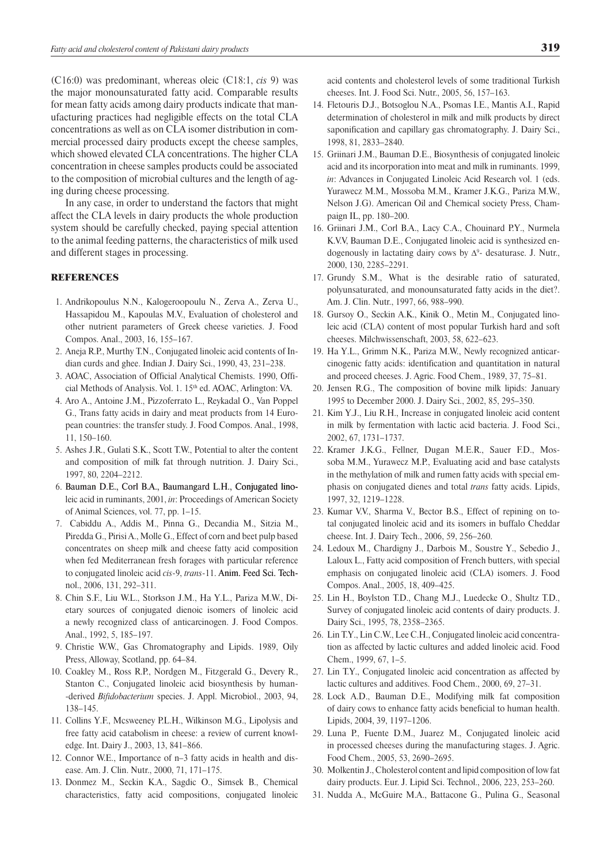(C16:0) was predominant, whereas oleic (C18:1, *cis* 9) was the major monounsaturated fatty acid. Comparable results for mean fatty acids among dairy products indicate that manufacturing practices had negligible effects on the total CLA concentrations as well as on CLA isomer distribution in commercial processed dairy products except the cheese samples, which showed elevated CLA concentrations. The higher CLA concentration in cheese samples products could be associated to the composition of microbial cultures and the length of aging during cheese processing.

In any case, in order to understand the factors that might affect the CLA levels in dairy products the whole production system should be carefully checked, paying special attention to the animal feeding patterns, the characteristics of milk used and different stages in processing.

## **REFERENCES**

- 1. Andrikopoulus N.N., Kalogeroopoulu N., Zerva A., Zerva U., Hassapidou M., Kapoulas M.V., Evaluation of cholesterol and other nutrient parameters of Greek cheese varieties. J. Food Compos. Anal., 2003, 16, 155–167.
- 2. Aneja R.P., Murthy T.N., Conjugated linoleic acid contents of Indian curds and ghee. Indian J. Dairy Sci., 1990, 43, 231–238.
- 3. AOAC, Association of Official Analytical Chemists. 1990, Official Methods of Analysis. Vol. 1. 15<sup>th</sup> ed. AOAC, Arlington: VA.
- 4. Aro A., Antoine J.M., Pizzoferrato L., Reykadal O., Van Poppel G., Trans fatty acids in dairy and meat products from 14 European countries: the transfer study. J. Food Compos. Anal., 1998, 11, 150–160.
- 5. Ashes J.R., Gulati S.K., Scott T.W., Potential to alter the content and composition of milk fat through nutrition. J. Dairy Sci., 1997, 80, 2204–2212.
- 6. Bauman D.E., Corl B.A., Baumangard L.H., Conjugated linoleic acid in ruminants, 2001, *in*: Proceedings of American Society of Animal Sciences, vol. 77, pp. 1–15.
- 7. Cabiddu A., Addis M., Pinna G., Decandia M., Sitzia M., Piredda G., Pirisi A., Molle G., Effect of corn and beet pulp based concentrates on sheep milk and cheese fatty acid composition when fed Mediterranean fresh forages with particular reference to conjugated linoleic acid *cis*-9, *trans*-11. Anim. Feed Sci. Technol., 2006, 131, 292–311.
- 8. Chin S.F., Liu W.L., Storkson J.M., Ha Y.L., Pariza M.W., Dietary sources of conjugated dienoic isomers of linoleic acid a newly recognized class of anticarcinogen. J. Food Compos. Anal., 1992, 5, 185–197.
- 9. Christie W.W., Gas Chromatography and Lipids. 1989, Oily Press, Alloway, Scotland, pp. 64–84.
- 10. Coakley M., Ross R.P., Nordgen M., Fitzgerald G., Devery R., Stanton C., Conjugated linoleic acid biosynthesis by humanderived *Bifidobacterium* species. J. Appl. Microbiol., 2003, 94, 138–145.
- 11. Collins Y.F., Mcsweeney P.L.H., Wilkinson M.G., Lipolysis and free fatty acid catabolism in cheese: a review of current knowledge. Int. Dairy J., 2003, 13, 841–866.
- 12. Connor W.E., Importance of n–3 fatty acids in health and disease. Am. J. Clin. Nutr., 2000, 71, 171–175.
- 13. Donmez M., Seckin K.A., Sagdic O., Simsek B., Chemical characteristics, fatty acid compositions, conjugated linoleic

acid contents and cholesterol levels of some traditional Turkish cheeses. Int. J. Food Sci. Nutr., 2005, 56, 157–163.

- 14. Fletouris D.J., Botsoglou N.A., Psomas I.E., Mantis A.I., Rapid determination of cholesterol in milk and milk products by direct saponification and capillary gas chromatography. J. Dairy Sci., 1998, 81, 2833–2840.
- 15. Griinari J.M., Bauman D.E., Biosynthesis of conjugated linoleic acid and its incorporation into meat and milk in ruminants. 1999, *in*: Advances in Conjugated Linoleic Acid Research vol. 1 (eds. Yurawecz M.M., Mossoba M.M., Kramer J.K.G., Pariza M.W., Nelson J.G). American Oil and Chemical society Press, Champaign IL, pp. 180–200.
- 16. Griinari J.M., Corl B.A., Lacy C.A., Chouinard P.Y., Nurmela K.V.V, Bauman D.E., Conjugated linoleic acid is synthesized endogenously in lactating dairy cows by  $\Delta^9$ - desaturase. J. Nutr., 2000, 130, 2285–2291.
- 17. Grundy S.M., What is the desirable ratio of saturated, polyunsaturated, and monounsaturated fatty acids in the diet?. Am. J. Clin. Nutr., 1997, 66, 988–990.
- 18. Gursoy O., Seckin A.K., Kinik O., Metin M., Conjugated linoleic acid (CLA) content of most popular Turkish hard and soft cheeses. Milchwissenschaft, 2003, 58, 622–623.
- 19. Ha Y.L., Grimm N.K., Pariza M.W., Newly recognized anticarcinogenic fatty acids: identification and quantitation in natural and proceed cheeses. J. Agric. Food Chem., 1989, 37, 75–81.
- 20. Jensen R.G., The composition of bovine milk lipids: January 1995 to December 2000. J. Dairy Sci., 2002, 85, 295–350.
- 21. Kim Y.J., Liu R.H., Increase in conjugated linoleic acid content in milk by fermentation with lactic acid bacteria. J. Food Sci., 2002, 67, 1731–1737.
- 22. Kramer J.K.G., Fellner, Dugan M.E.R., Sauer F.D., Mossoba M.M., Yurawecz M.P., Evaluating acid and base catalysts in the methylation of milk and rumen fatty acids with special emphasis on conjugated dienes and total *trans* fatty acids. Lipids, 1997, 32, 1219–1228.
- 23. Kumar V.V., Sharma V., Bector B.S., Effect of repining on total conjugated linoleic acid and its isomers in buffalo Cheddar cheese. Int. J. Dairy Tech., 2006, 59, 256–260.
- 24. Ledoux M., Chardigny J., Darbois M., Soustre Y., Sebedio J., Laloux L., Fatty acid composition of French butters, with special emphasis on conjugated linoleic acid (CLA) isomers. J. Food Compos. Anal., 2005, 18, 409–425.
- 25. Lin H., Boylston T.D., Chang M.J., Luedecke O., Shultz T.D., Survey of conjugated linoleic acid contents of dairy products. J. Dairy Sci., 1995, 78, 2358–2365.
- 26. Lin T.Y., Lin C.W., Lee C.H., Conjugated linoleic acid concentration as affected by lactic cultures and added linoleic acid. Food Chem., 1999, 67, 1–5.
- 27. Lin T.Y., Conjugated linoleic acid concentration as affected by lactic cultures and additives. Food Chem., 2000, 69, 27–31.
- 28. Lock A.D., Bauman D.E., Modifying milk fat composition of dairy cows to enhance fatty acids beneficial to human health. Lipids, 2004, 39, 1197–1206.
- 29. Luna P., Fuente D.M., Juarez M., Conjugated linoleic acid in processed cheeses during the manufacturing stages. J. Agric. Food Chem., 2005, 53, 2690–2695.
- 30. Molkentin J., Cholesterol content and lipid composition of low fat dairy products. Eur. J. Lipid Sci. Technol., 2006, 223, 253–260.
- 31. Nudda A., McGuire M.A., Battacone G., Pulina G., Seasonal